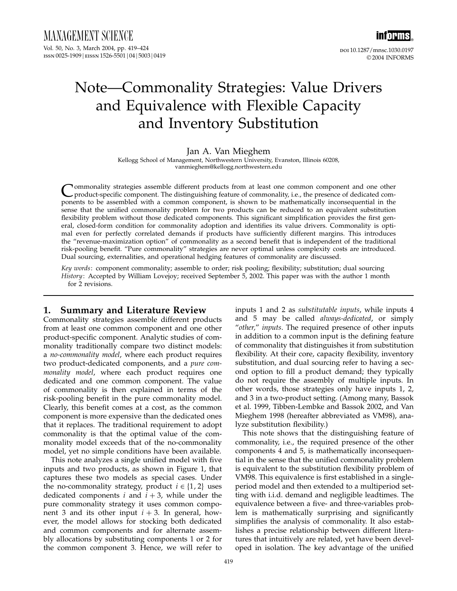

# Note—Commonality Strategies: Value Drivers and Equivalence with Flexible Capacity and Inventory Substitution

#### Jan A. Van Mieghem

Kellogg School of Management, Northwestern University, Evanston, Illinois 60208, vanmieghem@kellogg.northwestern.edu

Commonality strategies assemble different products from at least one common component and one other<br>product-specific component. The distinguishing feature of commonality, i.e., the presence of dedicated com-<br>product be ass ponents to be assembled with a common component, is shown to be mathematically inconsequential in the sense that the unified commonality problem for two products can be reduced to an equivalent substitution flexibility problem without those dedicated components. This significant simplification provides the first general, closed-form condition for commonality adoption and identifies its value drivers. Commonality is optimal even for perfectly correlated demands if products have sufficiently different margins. This introduces the "revenue-maximization option" of commonality as a second benefit that is independent of the traditional risk-pooling benefit. "Pure commonality" strategies are never optimal unless complexity costs are introduced. Dual sourcing, externalities, and operational hedging features of commonality are discussed.

Key words: component commonality; assemble to order; risk pooling; flexibility; substitution; dual sourcing History: Accepted by William Lovejoy; received September 5, 2002. This paper was with the author 1 month for 2 revisions.

## 1. Summary and Literature Review

Commonality strategies assemble different products from at least one common component and one other product-specific component. Analytic studies of commonality traditionally compare two distinct models: a no-commonality model, where each product requires two product-dedicated components, and a pure commonality model, where each product requires one dedicated and one common component. The value of commonality is then explained in terms of the risk-pooling benefit in the pure commonality model. Clearly, this benefit comes at a cost, as the common component is more expensive than the dedicated ones that it replaces. The traditional requirement to adopt commonality is that the optimal value of the commonality model exceeds that of the no-commonality model, yet no simple conditions have been available.

This note analyzes a single unified model with five inputs and two products, as shown in Figure 1, that captures these two models as special cases. Under the no-commonality strategy, product  $i \in \{1, 2\}$  uses dedicated components *i* and  $i + 3$ , while under the pure commonality strategy it uses common component 3 and its other input  $i + 3$ . In general, however, the model allows for stocking both dedicated and common components and for alternate assembly allocations by substituting components 1 or 2 for the common component 3. Hence, we will refer to

inputs 1 and 2 as substitutable inputs, while inputs 4 and 5 may be called always-dedicated, or simply "other," inputs. The required presence of other inputs in addition to a common input is the defining feature of commonality that distinguishes it from substitution flexibility. At their core, capacity flexibility, inventory substitution, and dual sourcing refer to having a second option to fill a product demand; they typically do not require the assembly of multiple inputs. In other words, those strategies only have inputs 1, 2, and 3 in a two-product setting. (Among many, Bassok et al. 1999, Tibben-Lembke and Bassok 2002, and Van Mieghem 1998 (hereafter abbreviated as VM98), analyze substitution flexibility.)

This note shows that the distinguishing feature of commonality, i.e., the required presence of the other components 4 and 5, is mathematically inconsequential in the sense that the unified commonality problem is equivalent to the substitution flexibility problem of VM98. This equivalence is first established in a singleperiod model and then extended to a multiperiod setting with i.i.d. demand and negligible leadtimes. The equivalence between a five- and three-variables problem is mathematically surprising and significantly simplifies the analysis of commonality. It also establishes a precise relationship between different literatures that intuitively are related, yet have been developed in isolation. The key advantage of the unified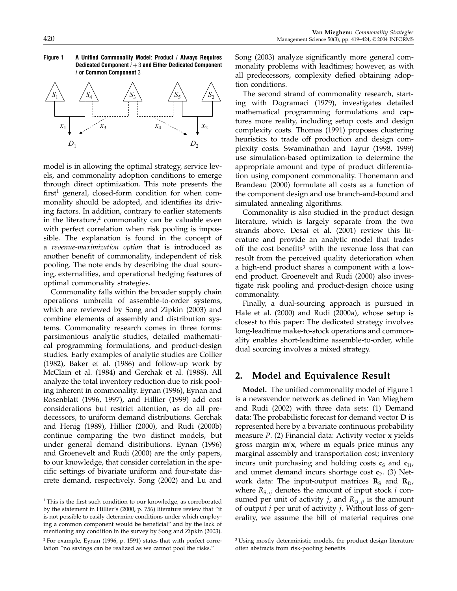



model is in allowing the optimal strategy, service levels, and commonality adoption conditions to emerge through direct optimization. This note presents the  $first<sup>1</sup>$  general, closed-form condition for when commonality should be adopted, and identifies its driving factors. In addition, contrary to earlier statements in the literature, $2$  commonality can be valuable even with perfect correlation when risk pooling is impossible. The explanation is found in the concept of a revenue-maximization option that is introduced as another benefit of commonality, independent of risk pooling. The note ends by describing the dual sourcing, externalities, and operational hedging features of optimal commonality strategies.

Commonality falls within the broader supply chain operations umbrella of assemble-to-order systems, which are reviewed by Song and Zipkin (2003) and combine elements of assembly and distribution systems. Commonality research comes in three forms: parsimonious analytic studies, detailed mathematical programming formulations, and product-design studies. Early examples of analytic studies are Collier (1982), Baker et al. (1986) and follow-up work by McClain et al. (1984) and Gerchak et al. (1988). All analyze the total inventory reduction due to risk pooling inherent in commonality. Eynan (1996), Eynan and Rosenblatt (1996, 1997), and Hillier (1999) add cost considerations but restrict attention, as do all predecessors, to uniform demand distributions. Gerchak and Henig (1989), Hillier (2000), and Rudi (2000b) continue comparing the two distinct models, but under general demand distributions. Eynan (1996) and Groenevelt and Rudi (2000) are the only papers, to our knowledge, that consider correlation in the specific settings of bivariate uniform and four-state discrete demand, respectively. Song (2002) and Lu and Song (2003) analyze significantly more general commonality problems with leadtimes; however, as with all predecessors, complexity defied obtaining adoption conditions.

The second strand of commonality research, starting with Dogramaci (1979), investigates detailed mathematical programming formulations and captures more reality, including setup costs and design complexity costs. Thomas (1991) proposes clustering heuristics to trade off production and design complexity costs. Swaminathan and Tayur (1998, 1999) use simulation-based optimization to determine the appropriate amount and type of product differentiation using component commonality. Thonemann and Brandeau (2000) formulate all costs as a function of the component design and use branch-and-bound and simulated annealing algorithms.

Commonality is also studied in the product design literature, which is largely separate from the two strands above. Desai et al. (2001) review this literature and provide an analytic model that trades off the cost benefits<sup>3</sup> with the revenue loss that can result from the perceived quality deterioration when a high-end product shares a component with a lowend product. Groenevelt and Rudi (2000) also investigate risk pooling and product-design choice using commonality.

Finally, a dual-sourcing approach is pursued in Hale et al. (2000) and Rudi (2000a), whose setup is closest to this paper: The dedicated strategy involves long-leadtime make-to-stock operations and commonality enables short-leadtime assemble-to-order, while dual sourcing involves a mixed strategy.

## 2. Model and Equivalence Result

Model. The unified commonality model of Figure 1 is a newsvendor network as defined in Van Mieghem and Rudi (2002) with three data sets: (1) Demand data: The probabilistic forecast for demand vector D is represented here by a bivariate continuous probability measure  $P$ . (2) Financial data: Activity vector  $x$  yields gross margin m x, where m equals price minus any marginal assembly and transportation cost; inventory incurs unit purchasing and holding costs  $c_S$  and  $c_H$ , and unmet demand incurs shortage cost  $c_{\rm P}$ . (3) Network data: The input-output matrices  $\mathbf{R}_{\text{S}}$  and  $\mathbf{R}_{\text{D}}$ , where  $R_{S,ii}$  denotes the amount of input stock *i* consumed per unit of activity *j*, and  $R_{D,ij}$  is the amount of output  $i$  per unit of activity  $j$ . Without loss of generality, we assume the bill of material requires one

<sup>&</sup>lt;sup>1</sup> This is the first such condition to our knowledge, as corroborated by the statement in Hillier's (2000, p. 756) literature review that "it is not possible to easily determine conditions under which employing a common component would be beneficial" and by the lack of mentioning any condition in the survey by Song and Zipkin (2003).

<sup>2</sup> For example, Eynan (1996, p. 1591) states that with perfect correlation "no savings can be realized as we cannot pool the risks."

<sup>&</sup>lt;sup>3</sup> Using mostly deterministic models, the product design literature often abstracts from risk-pooling benefits.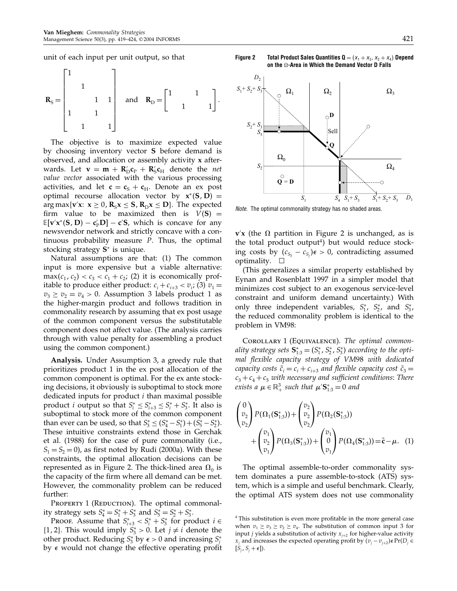unit of each input per unit output, so that

$$
\mathbf{R}_{\rm S} = \begin{bmatrix} 1 & & & \\ & 1 & & \\ & & 1 & 1 \\ 1 & & 1 & \\ & & 1 & 1 \end{bmatrix} \quad \text{and} \quad \mathbf{R}_{\rm D} = \begin{bmatrix} 1 & & 1 & \\ & 1 & & \\ & 1 & & 1 \end{bmatrix}.
$$

The objective is to maximize expected value by choosing inventory vector S before demand is observed, and allocation or assembly activity  $x$  afterwards. Let  $\mathbf{v} = \mathbf{m} + \mathbf{R}'_{\mathsf{D}} \mathbf{c}_{\mathsf{P}} + \mathbf{R}'_{\mathsf{S}} \mathbf{c}_{\mathsf{H}}$  denote the *net* value vector associated with the various processing activities, and let  $\mathbf{c} = \mathbf{c}_{\rm s} + \mathbf{c}_{\rm H}$ . Denote an ex post optimal recourse allocation vector by  $x^*(S, D) =$  $\arg \max \{ \mathbf{v}' \mathbf{x}: \mathbf{x} \geq 0, \mathbf{R}_{S} \mathbf{x} \leq \mathbf{S}, \mathbf{R}_{D} \mathbf{x} \leq \mathbf{D} \}$ . The expected firm value to be maximized then is  $V(S) =$  $\mathbb{E}[v'x^*(S, D) - c'_P D] - c'S$ , which is concave for any newsvendor network and strictly concave with a continuous probability measure P. Thus, the optimal stocking strategy S<sup>∗</sup> is unique.

Natural assumptions are that: (1) The common input is more expensive but a viable alternative:  $\max(c_1, c_2) < c_3 < c_1 + c_2$ ; (2) it is economically profitable to produce either product:  $c_i + c_{i+3} < v_i$ ; (3)  $v_1 =$  $v_3 \ge v_2 = v_4 > 0$ . Assumption 3 labels product 1 as the higher-margin product and follows tradition in commonality research by assuming that ex post usage of the common component versus the substitutable component does not affect value. (The analysis carries through with value penalty for assembling a product using the common component.)

Analysis. Under Assumption 3, a greedy rule that prioritizes product 1 in the ex post allocation of the common component is optimal. For the ex ante stocking decisions, it obviously is suboptimal to stock more dedicated inputs for product  $i$  than maximal possible product *i* output so that  $S_i^* \leq S_{i+3}^* \leq S_i^* + S_3^*$ . It also is suboptimal to stock more of the common component than ever can be used, so that  $S_3^* \le (S_4^* - S_1^*) + (S_5^* - S_2^*).$ These intuitive constraints extend those in Gerchak et al. (1988) for the case of pure commonality (i.e.,  $S_1 = S_2 = 0$ ), as first noted by Rudi (2000a). With these constraints, the optimal allocation decisions can be represented as in Figure 2. The thick-lined area  $\Omega_0$  is the capacity of the firm where all demand can be met. However, the commonality problem can be reduced further:

PROPERTY 1 (REDUCTION). The optimal commonality strategy sets  $S_4^* = S_1^* + S_3^*$  and  $S_5^* = S_2^* + S_3^*$ .

PROOF. Assume that  $S_{i+3}^* < S_i^* + S_3^*$  for product  $i \in \mathbb{R}$ {1, 2}. This would imply  $S_3^* > 0$ . Let  $j \neq i$  denote the other product. Reducing  $S_3^*$  by  $\epsilon > 0$  and increasing  $S_j^*$ by  $\epsilon$  would not change the effective operating profit





Note. The optimal commonality strategy has no shaded areas.

 $\mathbf{v}'\mathbf{x}$  (the  $\Omega$  partition in Figure 2 is unchanged, as is the total product output<sup>4</sup>) but would reduce stocking costs by  $(c_{S_3} - c_{S_j})\epsilon > 0$ , contradicting assumed optimality.  $\square$ 

(This generalizes a similar property established by Eynan and Rosenblatt 1997 in a simpler model that minimizes cost subject to an exogenous service-level constraint and uniform demand uncertainty.) With only three independent variables,  $S_1^*$ ,  $S_2^*$ , and  $S_3^*$ , the reduced commonality problem is identical to the problem in VM98:

COROLLARY 1 (EQUIVALENCE). The optimal commonality strategy sets  $\mathbf{S}_{1:3}^* = (S_1^*, S_2^*, S_3^*)$  according to the optimal flexible capacity strategy of VM98 with dedicated capacity costs  $\tilde{c}_i = c_i + c_{i+3}$  and flexible capacity cost  $\tilde{c}_3 = c_i$  $c_3 + c_4 + c_5$  with necessary and sufficient conditions: There exists a  $\mu \in \mathbb{R}^3_+$  such that  $\mu' \mathbf{S}^*_{1:3} = 0$  and

$$
\begin{pmatrix} 0 \\ v_2 \\ v_2 \end{pmatrix} P(\Omega_1(\mathbf{S}_{1:3}^*)) + \begin{pmatrix} v_2 \\ v_2 \\ v_2 \end{pmatrix} P(\Omega_2(\mathbf{S}_{1:3}^*)) + \begin{pmatrix} v_1 \\ v_2 \\ v_1 \end{pmatrix} P(\Omega_3(\mathbf{S}_{1:3}^*)) + \begin{pmatrix} v_1 \\ 0 \\ v_1 \end{pmatrix} P(\Omega_4(\mathbf{S}_{1:3}^*)) = \tilde{\mathbf{c}} - \mu. \tag{1}
$$

The optimal assemble-to-order commonality system dominates a pure assemble-to-stock (ATS) system, which is a simple and useful benchmark. Clearly, the optimal ATS system does not use commonality

<sup>4</sup> This substitution is even more profitable in the more general case when  $v_1 \ge v_3 \ge v_2 \ge v_4$ . The substitution of common input 3 for input *j* yields a substitution of activity  $x_{i+2}$  for higher-value activity  $x_j$  and increases the expected operating profit by  $(v_j - v_{j+2}) \epsilon Pr(D_j \in$  $[S_j, S_j + \epsilon]$ ).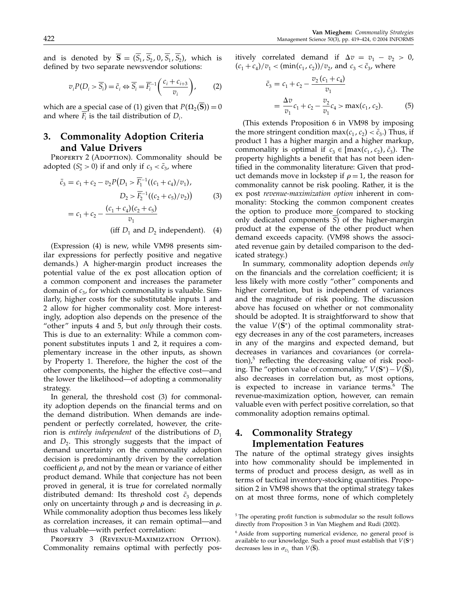$$
v_i P(D_i > \overline{S}_i) = \tilde{c}_i \Leftrightarrow \overline{S}_i = \overline{F}_i^{-1} \left( \frac{c_i + c_{i+3}}{v_i} \right), \tag{2}
$$

which are a special case of (1) given that  $P(\Omega_2(S)) = 0$ and where  $F_i$  is the tail distribution of  $D_i$ .

#### 3. Commonality Adoption Criteria and Value Drivers

PROPERTY 2 (ADOPTION). Commonality should be adopted  $(S_3^* > 0)$  if and only if  $c_3 < \bar{c}_3$ , where

$$
\bar{c}_3 = c_1 + c_2 - v_2 P(D_1 > \overline{F}_1^{-1}((c_1 + c_4)/v_1),
$$
  
\n
$$
D_2 > \overline{F}_2^{-1}((c_2 + c_5)/v_2))
$$
(3)  
\n
$$
= c_1 + c_2 - \frac{(c_1 + c_4)(c_2 + c_5)}{v_1}
$$
  
\n(iff  $D_1$  and  $D_2$  independent). (4)

(Expression (4) is new, while VM98 presents similar expressions for perfectly positive and negative demands.) A higher-margin product increases the potential value of the ex post allocation option of a common component and increases the parameter domain of  $c_3$ , for which commonality is valuable. Similarly, higher costs for the substitutable inputs 1 and 2 allow for higher commonality cost. More interestingly, adoption also depends on the presence of the "other" inputs 4 and 5, but only through their costs. This is due to an externality: While a common component substitutes inputs 1 and 2, it requires a complementary increase in the other inputs, as shown by Property 1. Therefore, the higher the cost of the other components, the higher the effective cost—and the lower the likelihood—of adopting a commonality strategy.

In general, the threshold cost (3) for commonality adoption depends on the financial terms and on the demand distribution. When demands are independent or perfectly correlated, however, the criterion is entirely independent of the distributions of  $D_1$ and  $D_2$ . This strongly suggests that the impact of demand uncertainty on the commonality adoption decision is predominantly driven by the correlation coefficient  $\rho$ , and not by the mean or variance of either product demand. While that conjecture has not been proved in general, it is true for correlated normally distributed demand: Its threshold cost  $\bar{c}_3$  depends only on uncertainty through  $\rho$  and is decreasing in  $\rho$ . While commonality adoption thus becomes less likely as correlation increases, it can remain optimal—and thus valuable—with perfect correlation:

PROPERTY 3 (REVENUE-MAXIMIZATION OPTION). Commonality remains optimal with perfectly positively correlated demand if  $\Delta v = v_1 - v_2 > 0$ ,  $(c_1 + c_4)/v_1 < (\min(c_1, c_2))/v_2$ , and  $c_3 < \bar{c}_3$ , where

$$
\bar{c}_3 = c_1 + c_2 - \frac{v_2 (c_1 + c_4)}{v_1}
$$
  
= 
$$
\frac{\Delta v}{v_1} c_1 + c_2 - \frac{v_2}{v_1} c_4 > \max(c_1, c_2).
$$
 (5)

(This extends Proposition 6 in VM98 by imposing the more stringent condition max $(c_1, c_2) < \bar{c}_3$ .) Thus, if product 1 has a higher margin and a higher markup, commonality is optimal if  $c_3 \in [\max(c_1, c_2), \bar{c}_3)$ . The property highlights a benefit that has not been identified in the commonality literature: Given that product demands move in lockstep if  $\rho = 1$ , the reason for commonality cannot be risk pooling. Rather, it is the ex post revenue-maximization option inherent in commonality: Stocking the common component creates the option to produce more (compared to stocking only dedicated components S) of the higher-margin product at the expense of the other product when demand exceeds capacity. (VM98 shows the associated revenue gain by detailed comparison to the dedicated strategy.)

In summary, commonality adoption depends only on the financials and the correlation coefficient; it is less likely with more costly "other" components and higher correlation, but is independent of variances and the magnitude of risk pooling. The discussion above has focused on whether or not commonality should be adopted. It is straightforward to show that the value  $V(S^*)$  of the optimal commonality strategy decreases in any of the cost parameters, increases in any of the margins and expected demand, but decreases in variances and covariances (or correla- $\{\text{tion}\}\text{,}^5$  reflecting the decreasing value of risk pooling. The "option value of commonality,"  $V(S^*) - V(S)$ , also decreases in correlation but, as most options, is expected to increase in variance terms.<sup>6</sup> The revenue-maximization option, however, can remain valuable even with perfect positive correlation, so that commonality adoption remains optimal.

## 4. Commonality Strategy Implementation Features

The nature of the optimal strategy gives insights into how commonality should be implemented in terms of product and process design, as well as in terms of tactical inventory-stocking quantities. Proposition 2 in VM98 shows that the optimal strategy takes on at most three forms, none of which completely

<sup>5</sup> The operating profit function is submodular so the result follows directly from Proposition 3 in Van Mieghem and Rudi (2002).

<sup>&</sup>lt;sup>6</sup> Aside from supporting numerical evidence, no general proof is available to our knowledge. Such a proof must establish that  $V({\bf S}^{*})$ decreases less in  $\sigma_{D_i}$  than  $V(\mathbf{S})$ .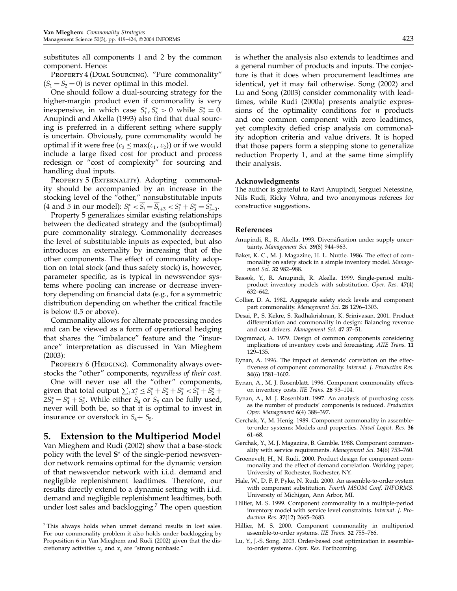substitutes all components 1 and 2 by the common component. Hence:

PROPERTY 4 (DUAL SOURCING). "Pure commonality"  $(S_1 = S_2 = 0)$  is never optimal in this model.

One should follow a dual-sourcing strategy for the higher-margin product even if commonality is very inexpensive, in which case  $S_1^*, S_3^* > 0$  while  $S_2^* = 0$ . Anupindi and Akella (1993) also find that dual sourcing is preferred in a different setting where supply is uncertain. Obviously, pure commonality would be optimal if it were free  $(c_3 \le max(c_1, c_2))$  or if we would include a large fixed cost for product and process redesign or "cost of complexity" for sourcing and handling dual inputs.

PROPERTY 5 (EXTERNALITY). Adopting commonality should be accompanied by an increase in the stocking level of the "other," nonsubstitutable inputs (4 and 5 in our model):  $S_i^* < S_i = S_{i+3} < S_i^* + S_3^* = S_{i+3}^*$ .

Property 5 generalizes similar existing relationships between the dedicated strategy and the (suboptimal) pure commonality strategy. Commonality decreases the level of substitutable inputs as expected, but also introduces an externality by increasing that of the other components. The effect of commonality adoption on total stock (and thus safety stock) is, however, parameter specific, as is typical in newsvendor systems where pooling can increase or decrease inventory depending on financial data (e.g., for a symmetric distribution depending on whether the critical fractile is below 0.5 or above).

Commonality allows for alternate processing modes and can be viewed as a form of operational hedging that shares the "imbalance" feature and the "insurance" interpretation as discussed in Van Mieghem (2003):

PROPERTY 6 (HEDGING). Commonality always overstocks the "other" components, regardless of their cost.

One will never use all the "other" components, given that total output  $\sum_i x_i^* \leq S_1^* + S_2^* + S_3^* < S_1^* + S_2^* +$  $2S_3^* = S_4^* + S_5^*$ . While either  $S_4$  or  $S_5$  can be fully used, never will both be, so that it is optimal to invest in insurance or overstock in  $S_4 + S_5$ .

## 5. Extension to the Multiperiod Model

Van Mieghem and Rudi (2002) show that a base-stock policy with the level S<sup>∗</sup> of the single-period newsvendor network remains optimal for the dynamic version of that newsvendor network with i.i.d. demand and negligible replenishment leadtimes. Therefore, our results directly extend to a dynamic setting with i.i.d. demand and negligible replenishment leadtimes, both under lost sales and backlogging.<sup>7</sup> The open question

is whether the analysis also extends to leadtimes and a general number of products and inputs. The conjecture is that it does when procurement leadtimes are identical, yet it may fail otherwise. Song (2002) and Lu and Song (2003) consider commonality with leadtimes, while Rudi (2000a) presents analytic expressions of the optimality conditions for  $n$  products and one common component with zero leadtimes, yet complexity defied crisp analysis on commonality adoption criteria and value drivers. It is hoped that those papers form a stepping stone to generalize reduction Property 1, and at the same time simplify their analysis.

#### Acknowledgments

The author is grateful to Ravi Anupindi, Serguei Netessine, Nils Rudi, Ricky Vohra, and two anonymous referees for constructive suggestions.

#### References

- Anupindi, R., R. Akella. 1993. Diversification under supply uncertainty. Management Sci. 39(8) 944–963.
- Baker, K. C., M. J. Magazine, H. L. Nuttle. 1986. The effect of commonality on safety stock in a simple inventory model. Management Sci. 32 982–988.
- Bassok, Y., R. Anupindi, R. Akella. 1999. Single-period multiproduct inventory models with substitution. Oper. Res. 47(4) 632–642.
- Collier, D. A. 1982. Aggregate safety stock levels and component part commonality. Management Sci. 28 1296-1303.
- Desai, P., S. Kekre, S. Radhakrishnan, K. Srinivasan. 2001. Product differentiation and commonality in design: Balancing revenue and cost drivers. Management Sci. 47 37–51.
- Dogramaci, A. 1979. Design of common components considering implications of inventory costs and forecasting. AIIE Trans. 11 129–135.
- Eynan, A. 1996. The impact of demands' correlation on the effectiveness of component commonality. Internat. J. Production Res. 34(6) 1581–1602.
- Eynan, A., M. J. Rosenblatt. 1996. Component commonality effects on inventory costs. IIE Trans. 28 93–104.
- Eynan, A., M. J. Rosenblatt. 1997. An analysis of purchasing costs as the number of products' components is reduced. Production Oper. Management 6(4) 388–397.
- Gerchak, Y., M. Henig. 1989. Component commonality in assembleto-order systems: Models and properties. Naval Logist. Res. 36 61–68.
- Gerchak, Y., M. J. Magazine, B. Gamble. 1988. Component commonality with service requirements. Management Sci. 34(6) 753–760.
- Groenevelt, H., N. Rudi. 2000. Product design for component commonality and the effect of demand correlation. Working paper, University of Rochester, Rochester, NY.
- Hale, W., D. F. P. Pyke, N. Rudi. 2000. An assemble-to-order system with component substitution. Fourth MSOM Conf. INFORMS. University of Michigan, Ann Arbor, MI.
- Hillier, M. S. 1999. Component commonality in a multiple-period inventory model with service level constraints. Internat. J. Production Res. 37(12) 2665–2683.
- Hillier, M. S. 2000. Component commonality in multiperiod assemble-to-order systems. IIE Trans. 32 755–766.
- Lu, Y., J.-S. Song. 2003. Order-based cost optimization in assembleto-order systems. Oper. Res. Forthcoming.

<sup>7</sup> This always holds when unmet demand results in lost sales. For our commonality problem it also holds under backlogging by Proposition 6 in Van Mieghem and Rudi (2002) given that the discretionary activities  $x_3$  and  $x_4$  are "strong nonbasic."